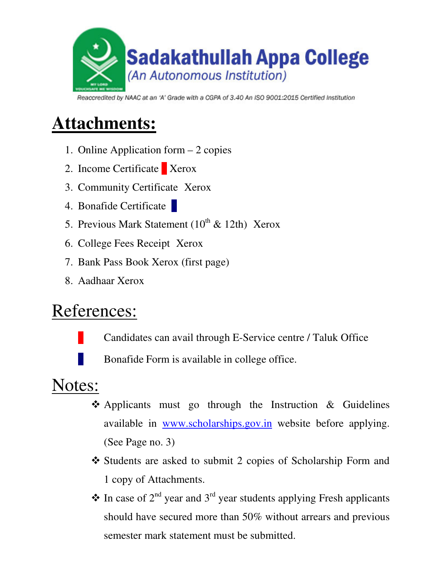

Reaccredited by NAAC at an 'A' Grade with a CGPA of 3.40 An ISO 9001:2015 Certified Institution

# **Attachments:**

- 1. Online Application form 2 copies
- 2. Income Certificate Xerox
- 3. Community Certificate Xerox
- 4. Bonafide Certificate
- 5. Previous Mark Statement  $(10^{th} \& 12th)$  Xerox
- 6. College Fees Receipt Xerox
- 7. Bank Pass Book Xerox (first page)
- 8. Aadhaar Xerox

## References:

- Candidates can avail through E-Service centre / Taluk Office
- Bonafide Form is available in college office.

### Notes:

- $\triangle$  Applicants must go through the Instruction & Guidelines available in www.scholarships.gov.in website before applying. (See Page no. 3)
- \* Students are asked to submit 2 copies of Scholarship Form and 1 copy of Attachments.
- $\triangle$  In case of 2<sup>nd</sup> year and 3<sup>rd</sup> year students applying Fresh applicants should have secured more than 50% without arrears and previous semester mark statement must be submitted.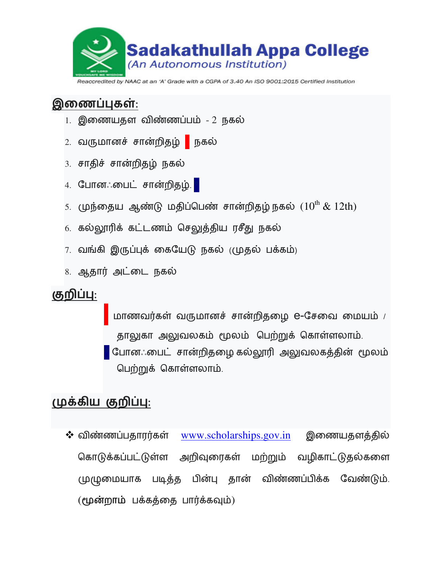

Reaccredited by NAAC at an 'A' Grade with a CGPA of 3.40 An ISO 9001:2015 Certified Institution

#### **இணைப்புகள்**:

- 1. இணையதள விண்ணப்பம் 2 நகல்
- 2. வருமானச் சான்றிதழ் <mark>\*</mark> நகல்
- 3. சாதிச் சான்றிதழ் நகல்
- 4. போனஃபைட் சான்றிதழ். <mark>\*</mark>
- $\,$ 5. முந்தைய ஆண்டு மதிப்பெண் சான்றிதழ்நகல்  $\,$  ( $10^{\rm th}$   $\&$   $\,12{\rm th})$
- 6. கல்லூரிக் கட்டணம் செலுத்திய ரசீது நகல்
- 7. வங்கி இருப்புக் கையேடு நகல் (முதல் பக்கம்)
- 8. ஆதார் அட்டை நகல்

#### **குறிப்பு:**

மாணவர்கள் வருமானச் சான்றிதழை e-சேவை மையம் / தாலுகா அலுவலகம் மூலம் பெற்றுக் கொள்ளலாம். <mark>்</mark> போனஃபைட் சான்றிதழை கல்லூரி அலுவலகத்தின் மூலம் பெற்றுக் கொள்ளலாம்.

### (முக்கிய குறிப்பு:

 $\boldsymbol{\dot{\cdot}}$  விண்ணப்பதாரர்கள் <u>www.scholarships.gov.in</u> இணையதளத்தில் கொடுக்கப்பட்டுள்ள அறிவுரைகள் மற்றும் வழிகாட்டுதல்களை முழுமையாக படிதத பின்பு தான விணணபபிக்க வேண்டும்.  $($ மூன்றாம் பக்கத்தை பார்க்கவும் $)$